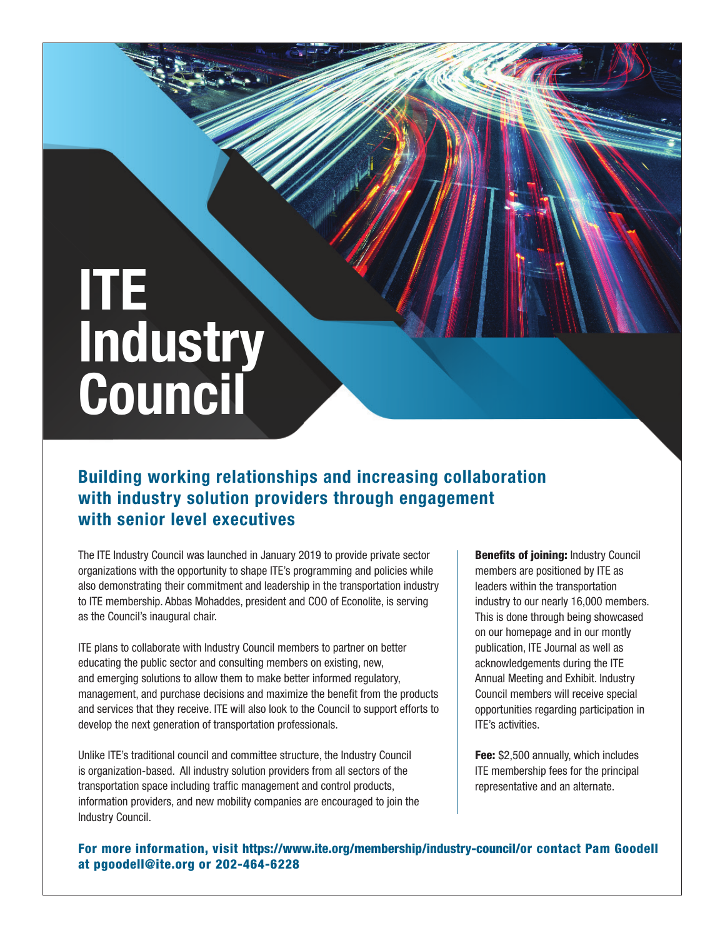## **ITE Industry Council**

## **Building working relationships and increasing collaboration with industry solution providers through engagement with senior level executives**

The ITE Industry Council was launched in January 2019 to provide private sector organizations with the opportunity to shape ITE's programming and policies while also demonstrating their commitment and leadership in the transportation industry to ITE membership. Abbas Mohaddes, president and COO of Econolite, is serving as the Council's inaugural chair.

ITE plans to collaborate with Industry Council members to partner on better educating the public sector and consulting members on existing, new, and emerging solutions to allow them to make better informed regulatory, management, and purchase decisions and maximize the benefit from the products and services that they receive. ITE will also look to the Council to support efforts to develop the next generation of transportation professionals.

Unlike ITE's traditional council and committee structure, the Industry Council is organization-based. All industry solution providers from all sectors of the transportation space including traffic management and control products, information providers, and new mobility companies are encouraged to join the Industry Council.

**Benefits of joining: Industry Council** members are positioned by ITE as leaders within the transportation industry to our nearly 16,000 members. This is done through being showcased on our homepage and in our montly publication, ITE Journal as well as acknowledgements during the ITE Annual Meeting and Exhibit. Industry Council members will receive special opportunities regarding participation in ITE's activities.

Fee: \$2,500 annually, which includes ITE membership fees for the principal representative and an alternate.

For more information, visit https://www.ite.org/membership/industry-council/or contact Pam Goodell at pgoodell@ite.org or 202-464-6228